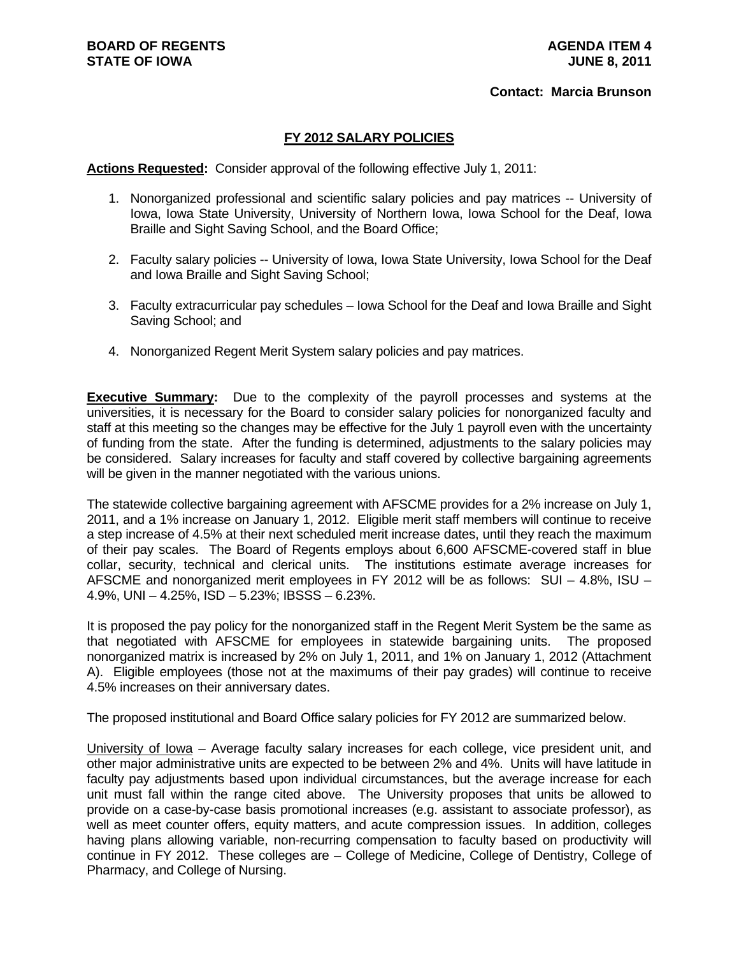#### **Contact: Marcia Brunson**

# **FY 2012 SALARY POLICIES**

**Actions Requested:** Consider approval of the following effective July 1, 2011:

- 1. Nonorganized professional and scientific salary policies and pay matrices -- University of Iowa, Iowa State University, University of Northern Iowa, Iowa School for the Deaf, Iowa Braille and Sight Saving School, and the Board Office;
- 2. Faculty salary policies -- University of Iowa, Iowa State University, Iowa School for the Deaf and Iowa Braille and Sight Saving School;
- 3. Faculty extracurricular pay schedules Iowa School for the Deaf and Iowa Braille and Sight Saving School; and
- 4. Nonorganized Regent Merit System salary policies and pay matrices.

**Executive Summary:** Due to the complexity of the payroll processes and systems at the universities, it is necessary for the Board to consider salary policies for nonorganized faculty and staff at this meeting so the changes may be effective for the July 1 payroll even with the uncertainty of funding from the state. After the funding is determined, adjustments to the salary policies may be considered. Salary increases for faculty and staff covered by collective bargaining agreements will be given in the manner negotiated with the various unions.

The statewide collective bargaining agreement with AFSCME provides for a 2% increase on July 1, 2011, and a 1% increase on January 1, 2012. Eligible merit staff members will continue to receive a step increase of 4.5% at their next scheduled merit increase dates, until they reach the maximum of their pay scales. The Board of Regents employs about 6,600 AFSCME-covered staff in blue collar, security, technical and clerical units. The institutions estimate average increases for AFSCME and nonorganized merit employees in FY 2012 will be as follows: SUI – 4.8%, ISU – 4.9%, UNI – 4.25%, ISD – 5.23%; IBSSS – 6.23%.

It is proposed the pay policy for the nonorganized staff in the Regent Merit System be the same as that negotiated with AFSCME for employees in statewide bargaining units. The proposed nonorganized matrix is increased by 2% on July 1, 2011, and 1% on January 1, 2012 (Attachment A). Eligible employees (those not at the maximums of their pay grades) will continue to receive 4.5% increases on their anniversary dates.

The proposed institutional and Board Office salary policies for FY 2012 are summarized below.

University of Iowa – Average faculty salary increases for each college, vice president unit, and other major administrative units are expected to be between 2% and 4%. Units will have latitude in faculty pay adjustments based upon individual circumstances, but the average increase for each unit must fall within the range cited above. The University proposes that units be allowed to provide on a case-by-case basis promotional increases (e.g. assistant to associate professor), as well as meet counter offers, equity matters, and acute compression issues. In addition, colleges having plans allowing variable, non-recurring compensation to faculty based on productivity will continue in FY 2012. These colleges are – College of Medicine, College of Dentistry, College of Pharmacy, and College of Nursing.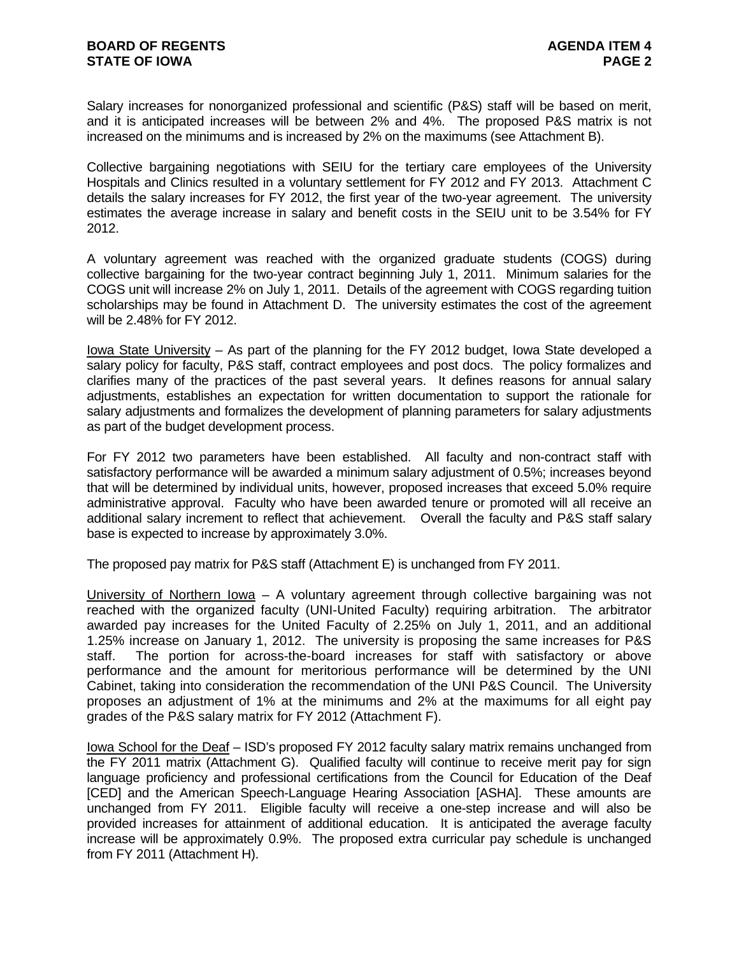Salary increases for nonorganized professional and scientific (P&S) staff will be based on merit, and it is anticipated increases will be between 2% and 4%. The proposed P&S matrix is not increased on the minimums and is increased by 2% on the maximums (see Attachment B).

Collective bargaining negotiations with SEIU for the tertiary care employees of the University Hospitals and Clinics resulted in a voluntary settlement for FY 2012 and FY 2013. Attachment C details the salary increases for FY 2012, the first year of the two-year agreement. The university estimates the average increase in salary and benefit costs in the SEIU unit to be 3.54% for FY 2012.

A voluntary agreement was reached with the organized graduate students (COGS) during collective bargaining for the two-year contract beginning July 1, 2011. Minimum salaries for the COGS unit will increase 2% on July 1, 2011. Details of the agreement with COGS regarding tuition scholarships may be found in Attachment D. The university estimates the cost of the agreement will be 2.48% for FY 2012.

Iowa State University – As part of the planning for the FY 2012 budget, Iowa State developed a salary policy for faculty, P&S staff, contract employees and post docs. The policy formalizes and clarifies many of the practices of the past several years. It defines reasons for annual salary adjustments, establishes an expectation for written documentation to support the rationale for salary adjustments and formalizes the development of planning parameters for salary adjustments as part of the budget development process.

For FY 2012 two parameters have been established. All faculty and non-contract staff with satisfactory performance will be awarded a minimum salary adjustment of 0.5%; increases beyond that will be determined by individual units, however, proposed increases that exceed 5.0% require administrative approval. Faculty who have been awarded tenure or promoted will all receive an additional salary increment to reflect that achievement. Overall the faculty and P&S staff salary base is expected to increase by approximately 3.0%.

The proposed pay matrix for P&S staff (Attachment E) is unchanged from FY 2011.

University of Northern Iowa – A voluntary agreement through collective bargaining was not reached with the organized faculty (UNI-United Faculty) requiring arbitration. The arbitrator awarded pay increases for the United Faculty of 2.25% on July 1, 2011, and an additional 1.25% increase on January 1, 2012. The university is proposing the same increases for P&S staff. The portion for across-the-board increases for staff with satisfactory or above performance and the amount for meritorious performance will be determined by the UNI Cabinet, taking into consideration the recommendation of the UNI P&S Council. The University proposes an adjustment of 1% at the minimums and 2% at the maximums for all eight pay grades of the P&S salary matrix for FY 2012 (Attachment F).

Iowa School for the Deaf – ISD's proposed FY 2012 faculty salary matrix remains unchanged from the FY 2011 matrix (Attachment G). Qualified faculty will continue to receive merit pay for sign language proficiency and professional certifications from the Council for Education of the Deaf [CED] and the American Speech-Language Hearing Association [ASHA]. These amounts are unchanged from FY 2011. Eligible faculty will receive a one-step increase and will also be provided increases for attainment of additional education. It is anticipated the average faculty increase will be approximately 0.9%. The proposed extra curricular pay schedule is unchanged from FY 2011 (Attachment H).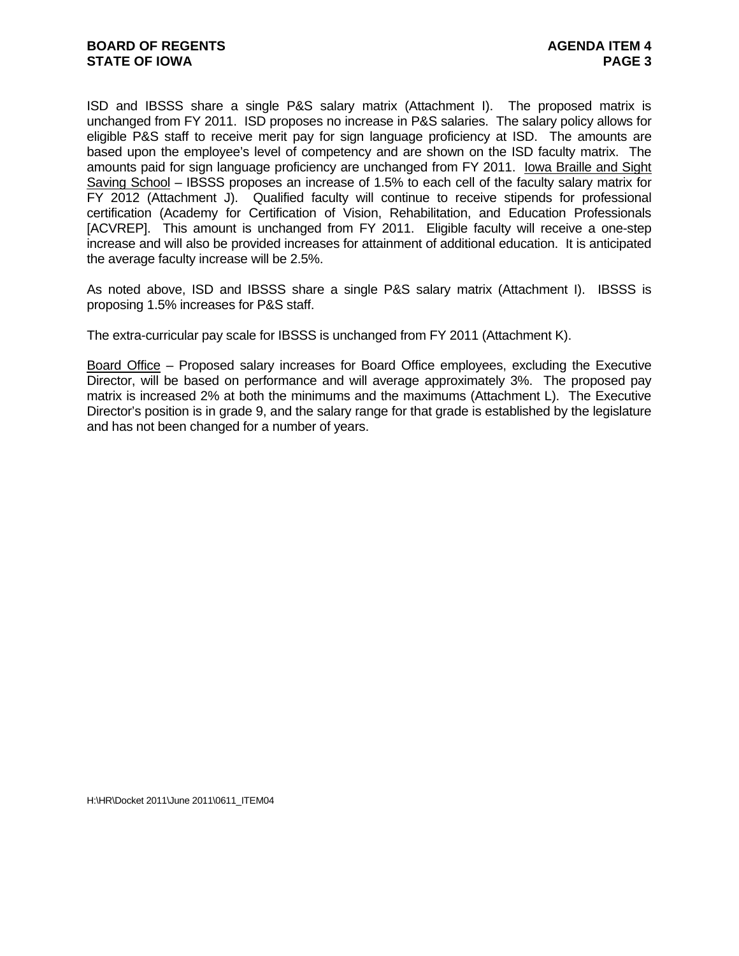ISD and IBSSS share a single P&S salary matrix (Attachment I). The proposed matrix is unchanged from FY 2011. ISD proposes no increase in P&S salaries. The salary policy allows for eligible P&S staff to receive merit pay for sign language proficiency at ISD. The amounts are based upon the employee's level of competency and are shown on the ISD faculty matrix. The amounts paid for sign language proficiency are unchanged from FY 2011. Iowa Braille and Sight Saving School – IBSSS proposes an increase of 1.5% to each cell of the faculty salary matrix for FY 2012 (Attachment J). Qualified faculty will continue to receive stipends for professional certification (Academy for Certification of Vision, Rehabilitation, and Education Professionals [ACVREP]. This amount is unchanged from FY 2011. Eligible faculty will receive a one-step increase and will also be provided increases for attainment of additional education. It is anticipated the average faculty increase will be 2.5%.

As noted above, ISD and IBSSS share a single P&S salary matrix (Attachment I). IBSSS is proposing 1.5% increases for P&S staff.

The extra-curricular pay scale for IBSSS is unchanged from FY 2011 (Attachment K).

Board Office – Proposed salary increases for Board Office employees, excluding the Executive Director, will be based on performance and will average approximately 3%. The proposed pay matrix is increased 2% at both the minimums and the maximums (Attachment L). The Executive Director's position is in grade 9, and the salary range for that grade is established by the legislature and has not been changed for a number of years.

H:\HR\Docket 2011\June 2011\0611\_ITEM04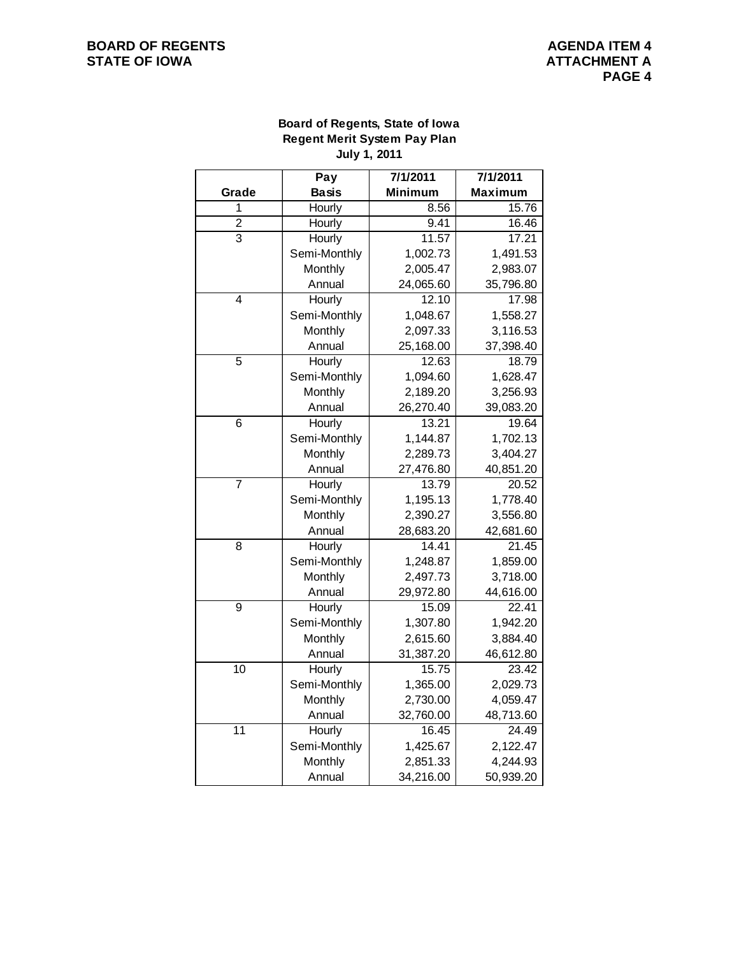# **Board of Regents, State of Iowa Regent Merit System Pay Plan July 1, 2011**

|                 | Pay          | 7/1/2011       | 7/1/2011       |  |  |  |
|-----------------|--------------|----------------|----------------|--|--|--|
| Grade           | <b>Basis</b> | <b>Minimum</b> | <b>Maximum</b> |  |  |  |
| 1               | Hourly       | 8.56           | 15.76          |  |  |  |
| $\overline{c}$  | Hourly       | 9.41           | 16.46          |  |  |  |
| $\overline{3}$  | Hourly       | 11.57          | 17.21          |  |  |  |
|                 | Semi-Monthly | 1,002.73       | 1,491.53       |  |  |  |
|                 | Monthly      | 2,005.47       | 2,983.07       |  |  |  |
|                 | Annual       | 24,065.60      | 35,796.80      |  |  |  |
| $\overline{4}$  | Hourly       | 12.10          | 17.98          |  |  |  |
|                 | Semi-Monthly | 1,048.67       | 1,558.27       |  |  |  |
|                 | Monthly      | 2,097.33       | 3,116.53       |  |  |  |
|                 | Annual       | 25,168.00      | 37,398.40      |  |  |  |
| 5               | Hourly       | 12.63          | 18.79          |  |  |  |
|                 | Semi-Monthly | 1,094.60       | 1,628.47       |  |  |  |
|                 | Monthly      | 2,189.20       | 3,256.93       |  |  |  |
|                 | Annual       | 26,270.40      | 39,083.20      |  |  |  |
| 6               | Hourly       | 13.21          | 19.64          |  |  |  |
|                 | Semi-Monthly | 1,144.87       | 1,702.13       |  |  |  |
|                 | Monthly      | 2,289.73       | 3,404.27       |  |  |  |
|                 | Annual       | 27,476.80      | 40,851.20      |  |  |  |
| 7               | Hourly       | 13.79          | 20.52          |  |  |  |
|                 | Semi-Monthly | 1,195.13       | 1,778.40       |  |  |  |
|                 | Monthly      | 2,390.27       | 3,556.80       |  |  |  |
|                 | Annual       | 28,683.20      | 42,681.60      |  |  |  |
| 8               | Hourly       | 14.41          | 21.45          |  |  |  |
|                 | Semi-Monthly | 1,248.87       | 1,859.00       |  |  |  |
|                 | Monthly      | 2,497.73       | 3,718.00       |  |  |  |
|                 | Annual       | 29,972.80      | 44,616.00      |  |  |  |
| $\overline{9}$  | Hourly       | 15.09          | 22.41          |  |  |  |
|                 | Semi-Monthly | 1,307.80       | 1,942.20       |  |  |  |
|                 | Monthly      | 2,615.60       | 3,884.40       |  |  |  |
|                 | Annual       | 31,387.20      | 46,612.80      |  |  |  |
| $\overline{10}$ | Hourly       | 15.75          | 23.42          |  |  |  |
|                 | Semi-Monthly | 1,365.00       | 2,029.73       |  |  |  |
|                 | Monthly      | 2,730.00       | 4,059.47       |  |  |  |
|                 | Annual       | 32,760.00      | 48,713.60      |  |  |  |
| 11              | Hourly       | 16.45          | 24.49          |  |  |  |
|                 | Semi-Monthly | 1,425.67       | 2,122.47       |  |  |  |
|                 | Monthly      | 2,851.33       | 4,244.93       |  |  |  |
|                 | Annual       | 34,216.00      | 50,939.20      |  |  |  |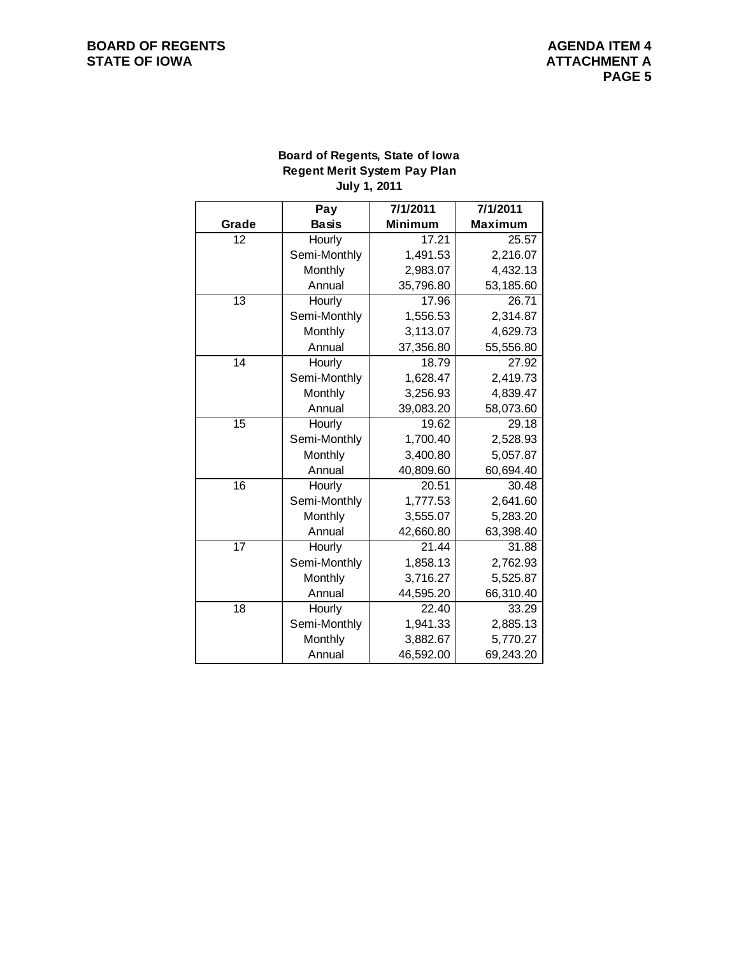# **Board of Regents, State of Iowa Regent Merit System Pay Plan July 1, 2011**

|                 | Pay          | 7/1/2011       | 7/1/2011       |
|-----------------|--------------|----------------|----------------|
| Grade           | <b>Basis</b> | <b>Minimum</b> | <b>Maximum</b> |
| 12              | Hourly       | 17.21          | 25.57          |
|                 | Semi-Monthly | 1,491.53       | 2,216.07       |
|                 | Monthly      | 2,983.07       | 4,432.13       |
|                 | Annual       | 35,796.80      | 53,185.60      |
| 13              | Hourly       | 17.96          | 26.71          |
|                 | Semi-Monthly | 1,556.53       | 2,314.87       |
|                 | Monthly      | 3,113.07       | 4,629.73       |
|                 | Annual       | 37,356.80      | 55,556.80      |
| 14              | Hourly       | 18.79          | 27.92          |
|                 | Semi-Monthly | 1,628.47       | 2,419.73       |
|                 | Monthly      | 3,256.93       | 4,839.47       |
|                 | Annual       | 39,083.20      | 58,073.60      |
| 15              | Hourly       | 19.62          | 29.18          |
|                 | Semi-Monthly | 1,700.40       | 2,528.93       |
|                 | Monthly      | 3,400.80       | 5,057.87       |
|                 | Annual       | 40,809.60      | 60,694.40      |
| $\overline{16}$ | Hourly       | 20.51          | 30.48          |
|                 | Semi-Monthly | 1,777.53       | 2,641.60       |
|                 | Monthly      | 3,555.07       | 5,283.20       |
|                 | Annual       | 42,660.80      | 63,398.40      |
| $\overline{17}$ | Hourly       | 21.44          | 31.88          |
|                 | Semi-Monthly | 1,858.13       | 2,762.93       |
|                 | Monthly      | 3,716.27       | 5,525.87       |
|                 | Annual       | 44,595.20      | 66,310.40      |
| 18              | Hourly       | 22.40          | 33.29          |
|                 | Semi-Monthly | 1,941.33       | 2,885.13       |
|                 | Monthly      | 3,882.67       | 5,770.27       |
|                 | Annual       | 46,592.00      | 69,243.20      |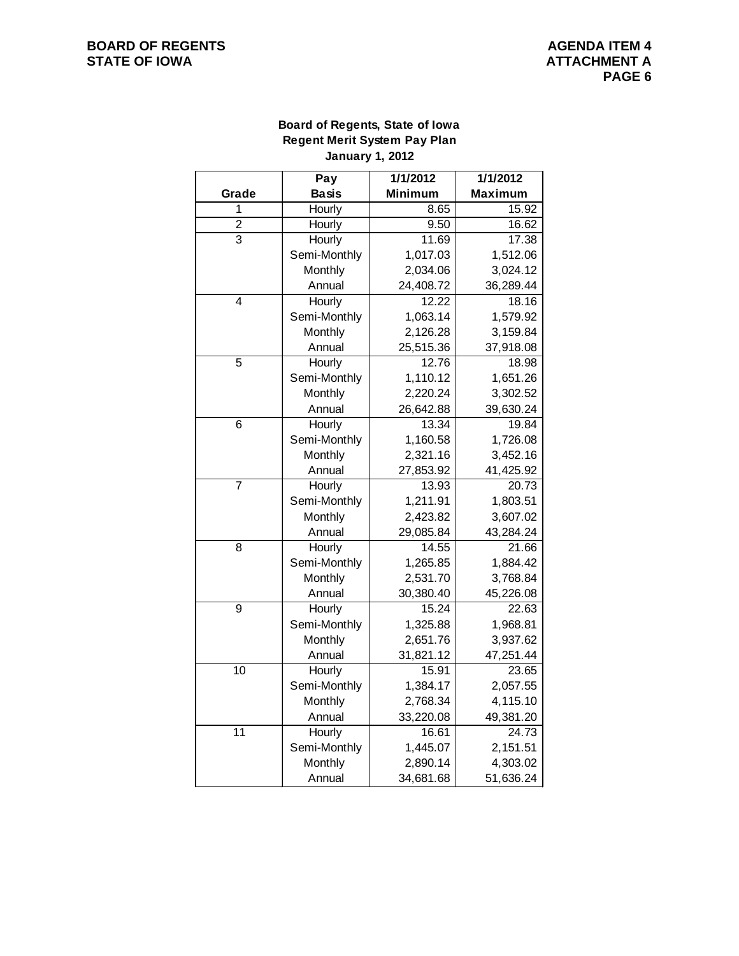# **Board of Regents, State of Iowa Regent Merit System Pay Plan January 1, 2012**

|                 | Pay          | 1/1/2012       | 1/1/2012       |  |  |
|-----------------|--------------|----------------|----------------|--|--|
| Grade           | <b>Basis</b> | <b>Minimum</b> | <b>Maximum</b> |  |  |
| 1               | Hourly       | 8.65           | 15.92          |  |  |
| $\overline{2}$  | Hourly       | 9.50           | 16.62          |  |  |
| $\overline{3}$  | Hourly       | 11.69          | 17.38          |  |  |
|                 | Semi-Monthly | 1,017.03       | 1,512.06       |  |  |
|                 | Monthly      | 2,034.06       | 3,024.12       |  |  |
|                 | Annual       | 24,408.72      | 36,289.44      |  |  |
| 4               | Hourly       | 12.22          | 18.16          |  |  |
|                 | Semi-Monthly | 1,063.14       | 1,579.92       |  |  |
|                 | Monthly      | 2,126.28       | 3,159.84       |  |  |
|                 | Annual       | 25,515.36      | 37,918.08      |  |  |
| 5               | Hourly       | 12.76          | 18.98          |  |  |
|                 | Semi-Monthly | 1,110.12       | 1,651.26       |  |  |
|                 | Monthly      | 2,220.24       | 3,302.52       |  |  |
|                 | Annual       | 26,642.88      | 39,630.24      |  |  |
| 6               | Hourly       | 13.34          | 19.84          |  |  |
|                 | Semi-Monthly | 1,160.58       | 1,726.08       |  |  |
|                 | Monthly      | 2,321.16       | 3,452.16       |  |  |
|                 | Annual       | 27,853.92      | 41,425.92      |  |  |
| $\overline{7}$  | Hourly       | 13.93          | 20.73          |  |  |
|                 | Semi-Monthly | 1,211.91       | 1,803.51       |  |  |
|                 | Monthly      | 2,423.82       | 3,607.02       |  |  |
|                 | Annual       | 29,085.84      | 43,284.24      |  |  |
| 8               | Hourly       | 14.55          | 21.66          |  |  |
|                 | Semi-Monthly | 1,265.85       | 1,884.42       |  |  |
|                 | Monthly      | 2,531.70       | 3,768.84       |  |  |
|                 | Annual       | 30,380.40      | 45,226.08      |  |  |
| $\overline{9}$  | Hourly       | 15.24          | 22.63          |  |  |
|                 | Semi-Monthly | 1,325.88       | 1,968.81       |  |  |
|                 | Monthly      | 2,651.76       | 3,937.62       |  |  |
|                 | Annual       | 31,821.12      | 47,251.44      |  |  |
| 10              | Hourly       | 15.91          | 23.65          |  |  |
|                 | Semi-Monthly | 1,384.17       | 2,057.55       |  |  |
|                 | Monthly      | 2,768.34       | 4,115.10       |  |  |
|                 | Annual       | 33,220.08      | 49,381.20      |  |  |
| $\overline{11}$ | Hourly       | 16.61          | 24.73          |  |  |
|                 | Semi-Monthly | 1,445.07       | 2,151.51       |  |  |
|                 | Monthly      | 2,890.14       | 4,303.02       |  |  |
|                 | Annual       | 34,681.68      | 51,636.24      |  |  |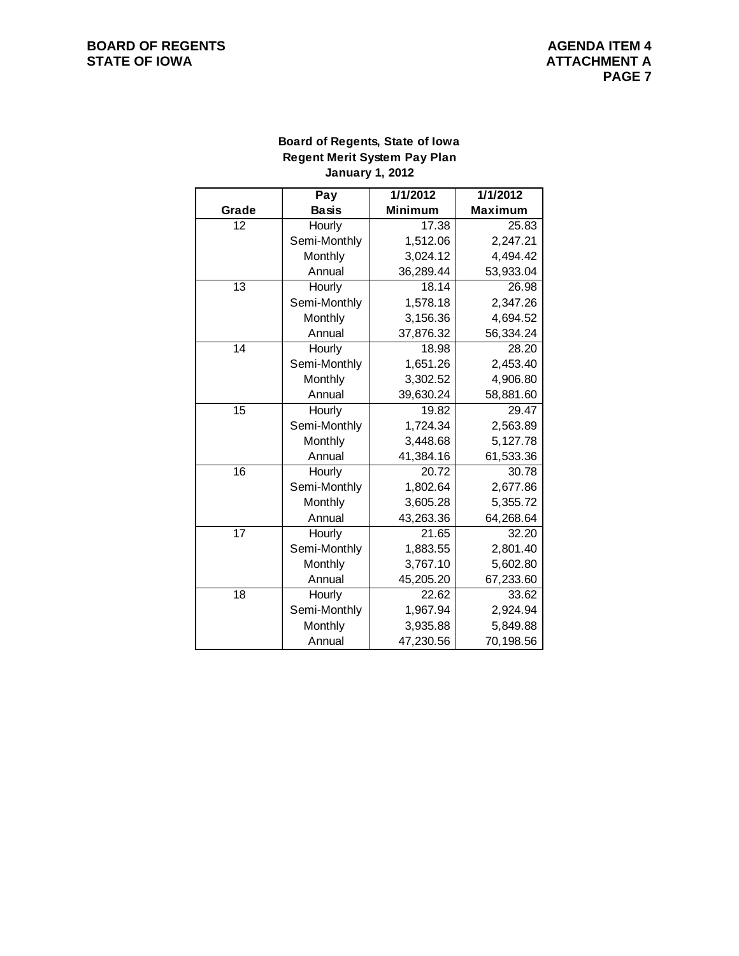# **Board of Regents, State of Iowa Regent Merit System Pay Plan January 1, 2012**

|                 | Pay          | 1/1/2012       | 1/1/2012       |
|-----------------|--------------|----------------|----------------|
| Grade           | <b>Basis</b> | <b>Minimum</b> | <b>Maximum</b> |
| 12              | Hourly       | 17.38          | 25.83          |
|                 | Semi-Monthly | 1,512.06       | 2,247.21       |
|                 | Monthly      | 3,024.12       | 4,494.42       |
|                 | Annual       | 36,289.44      | 53,933.04      |
| $\overline{13}$ | Hourly       | 18.14          | 26.98          |
|                 | Semi-Monthly | 1,578.18       | 2,347.26       |
|                 | Monthly      | 3,156.36       | 4,694.52       |
|                 | Annual       | 37,876.32      | 56,334.24      |
| 14              | Hourly       | 18.98          | 28.20          |
|                 | Semi-Monthly | 1,651.26       | 2,453.40       |
|                 | Monthly      | 3,302.52       | 4,906.80       |
|                 | Annual       | 39,630.24      | 58,881.60      |
| $\overline{15}$ | Hourly       | 19.82          | 29.47          |
|                 | Semi-Monthly | 1,724.34       | 2,563.89       |
|                 | Monthly      | 3,448.68       | 5,127.78       |
|                 | Annual       | 41,384.16      | 61,533.36      |
| 16              | Hourly       | 20.72          | 30.78          |
|                 | Semi-Monthly | 1,802.64       | 2,677.86       |
|                 | Monthly      | 3,605.28       | 5,355.72       |
|                 | Annual       | 43,263.36      | 64,268.64      |
| $\overline{17}$ | Hourly       | 21.65          | 32.20          |
|                 | Semi-Monthly | 1,883.55       | 2,801.40       |
|                 | Monthly      | 3,767.10       | 5,602.80       |
|                 | Annual       | 45,205.20      | 67,233.60      |
| 18              | Hourly       | 22.62          | 33.62          |
|                 | Semi-Monthly | 1,967.94       | 2,924.94       |
|                 | Monthly      | 3,935.88       | 5,849.88       |
|                 | Annual       | 47,230.56      | 70,198.56      |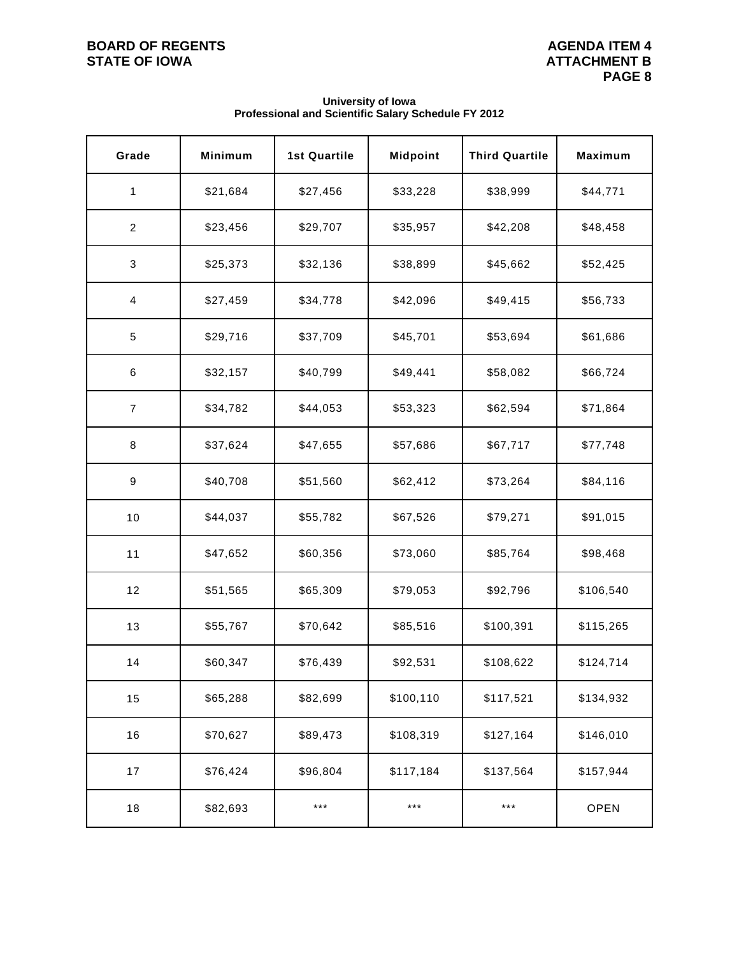| Grade                   | Minimum  | <b>1st Quartile</b> | <b>Midpoint</b> | <b>Third Quartile</b> | <b>Maximum</b> |
|-------------------------|----------|---------------------|-----------------|-----------------------|----------------|
| 1                       | \$21,684 | \$27,456            | \$33,228        | \$38,999              | \$44,771       |
| $\overline{c}$          | \$23,456 | \$29,707            | \$35,957        | \$42,208              | \$48,458       |
| $\mathbf{3}$            | \$25,373 | \$32,136            | \$38,899        | \$45,662              | \$52,425       |
| $\overline{\mathbf{4}}$ | \$27,459 | \$34,778            | \$42,096        | \$49,415              | \$56,733       |
| $\,$ 5 $\,$             | \$29,716 | \$37,709            | \$45,701        | \$53,694              | \$61,686       |
| $\,6$                   | \$32,157 | \$40,799            | \$49,441        | \$58,082              | \$66,724       |
| $\overline{7}$          | \$34,782 | \$44,053            | \$53,323        | \$62,594              | \$71,864       |
| 8                       | \$37,624 | \$47,655            | \$57,686        | \$67,717              | \$77,748       |
| 9                       | \$40,708 | \$51,560            | \$62,412        | \$73,264              | \$84,116       |
| 10                      | \$44,037 | \$55,782            | \$67,526        | \$79,271              | \$91,015       |
| 11                      | \$47,652 | \$60,356            | \$73,060        | \$85,764              | \$98,468       |
| 12                      | \$51,565 | \$65,309            | \$79,053        | \$92,796              | \$106,540      |
| 13                      | \$55,767 | \$70,642            | \$85,516        | \$100,391             | \$115,265      |
| 14                      | \$60,347 | \$76,439            | \$92,531        | \$108,622             | \$124,714      |
| 15                      | \$65,288 | \$82,699            | \$100,110       | \$117,521             | \$134,932      |
| 16                      | \$70,627 | \$89,473            | \$108,319       | \$127,164             | \$146,010      |
| 17                      | \$76,424 | \$96,804            | \$117,184       | \$137,564             | \$157,944      |
| 18                      | \$82,693 | ***                 | $***$           | $***$                 | <b>OPEN</b>    |

#### **University of Iowa Professional and Scientific Salary Schedule FY 2012**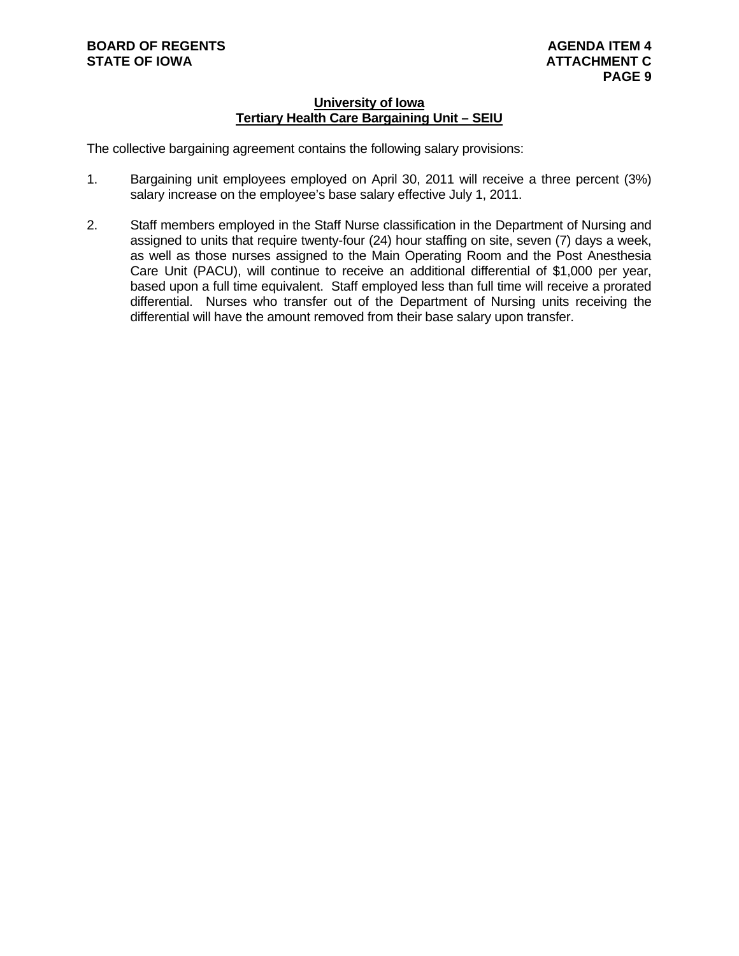# **University of Iowa Tertiary Health Care Bargaining Unit – SEIU**

The collective bargaining agreement contains the following salary provisions:

- 1. Bargaining unit employees employed on April 30, 2011 will receive a three percent (3%) salary increase on the employee's base salary effective July 1, 2011.
- 2. Staff members employed in the Staff Nurse classification in the Department of Nursing and assigned to units that require twenty-four (24) hour staffing on site, seven (7) days a week, as well as those nurses assigned to the Main Operating Room and the Post Anesthesia Care Unit (PACU), will continue to receive an additional differential of \$1,000 per year, based upon a full time equivalent. Staff employed less than full time will receive a prorated differential. Nurses who transfer out of the Department of Nursing units receiving the differential will have the amount removed from their base salary upon transfer.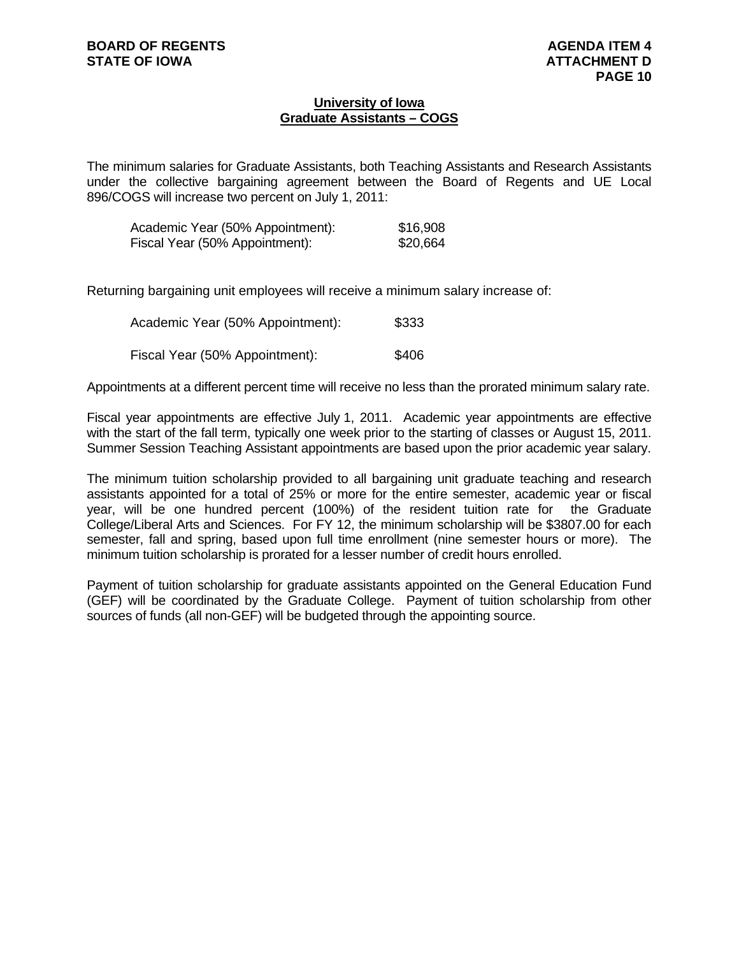# **University of Iowa Graduate Assistants – COGS**

The minimum salaries for Graduate Assistants, both Teaching Assistants and Research Assistants under the collective bargaining agreement between the Board of Regents and UE Local 896/COGS will increase two percent on July 1, 2011:

| Academic Year (50% Appointment): | \$16,908 |
|----------------------------------|----------|
| Fiscal Year (50% Appointment):   | \$20,664 |

Returning bargaining unit employees will receive a minimum salary increase of:

| Academic Year (50% Appointment): | \$333 |
|----------------------------------|-------|
| Fiscal Year (50% Appointment):   | \$406 |

Appointments at a different percent time will receive no less than the prorated minimum salary rate.

Fiscal year appointments are effective July 1, 2011. Academic year appointments are effective with the start of the fall term, typically one week prior to the starting of classes or August 15, 2011. Summer Session Teaching Assistant appointments are based upon the prior academic year salary.

The minimum tuition scholarship provided to all bargaining unit graduate teaching and research assistants appointed for a total of 25% or more for the entire semester, academic year or fiscal year, will be one hundred percent (100%) of the resident tuition rate for the Graduate College/Liberal Arts and Sciences. For FY 12, the minimum scholarship will be \$3807.00 for each semester, fall and spring, based upon full time enrollment (nine semester hours or more). The minimum tuition scholarship is prorated for a lesser number of credit hours enrolled.

Payment of tuition scholarship for graduate assistants appointed on the General Education Fund (GEF) will be coordinated by the Graduate College. Payment of tuition scholarship from other sources of funds (all non-GEF) will be budgeted through the appointing source.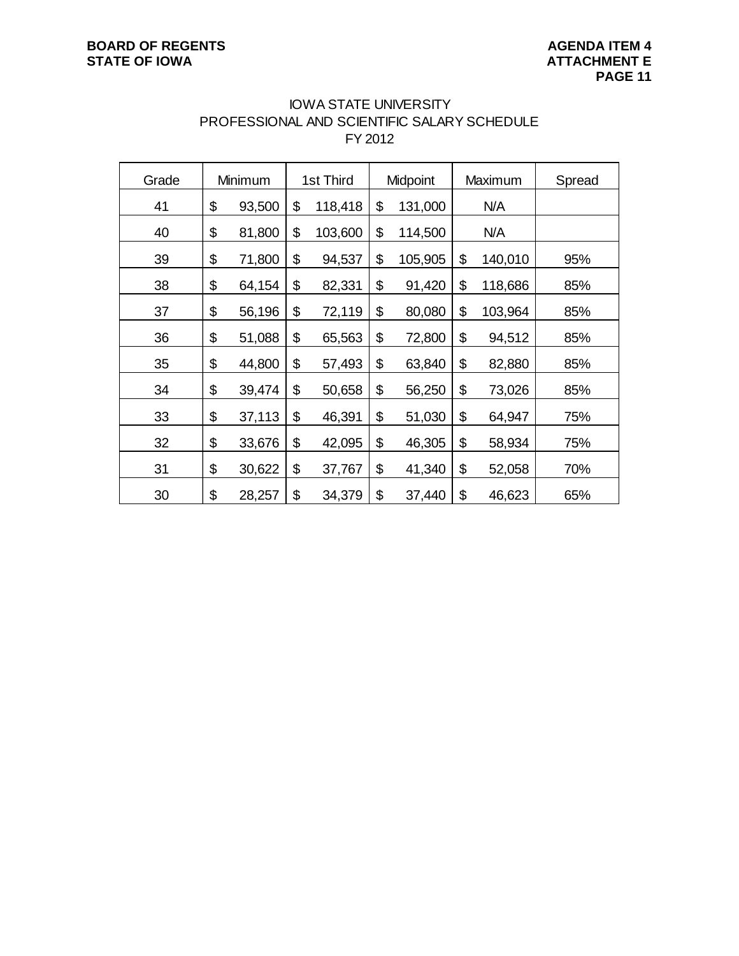# IOWA STATE UNIVERSITY PROFESSIONAL AND SCIENTIFIC SALARY SCHEDULE FY 2012

| Grade | Minimum      | 1st Third     | Midpoint      |     | Maximum | Spread |
|-------|--------------|---------------|---------------|-----|---------|--------|
| 41    | \$<br>93,500 | \$<br>118,418 | \$<br>131,000 | N/A |         |        |
| 40    | \$<br>81,800 | \$<br>103,600 | \$<br>114,500 |     | N/A     |        |
| 39    | \$<br>71,800 | \$<br>94,537  | \$<br>105,905 | \$  | 140,010 | 95%    |
| 38    | \$<br>64,154 | \$<br>82,331  | \$<br>91,420  | \$  | 118,686 | 85%    |
| 37    | \$<br>56,196 | \$<br>72,119  | \$<br>80,080  | \$  | 103,964 | 85%    |
| 36    | \$<br>51,088 | \$<br>65,563  | \$<br>72,800  | \$  | 94,512  | 85%    |
| 35    | \$<br>44,800 | \$<br>57,493  | \$<br>63,840  | \$  | 82,880  | 85%    |
| 34    | \$<br>39,474 | \$<br>50,658  | \$<br>56,250  | \$  | 73,026  | 85%    |
| 33    | \$<br>37,113 | \$<br>46,391  | \$<br>51,030  | \$  | 64,947  | 75%    |
| 32    | \$<br>33,676 | \$<br>42,095  | \$<br>46,305  | \$  | 58,934  | 75%    |
| 31    | \$<br>30,622 | \$<br>37,767  | \$<br>41,340  | \$  | 52,058  | 70%    |
| 30    | \$<br>28,257 | \$<br>34,379  | \$<br>37,440  | \$  | 46,623  | 65%    |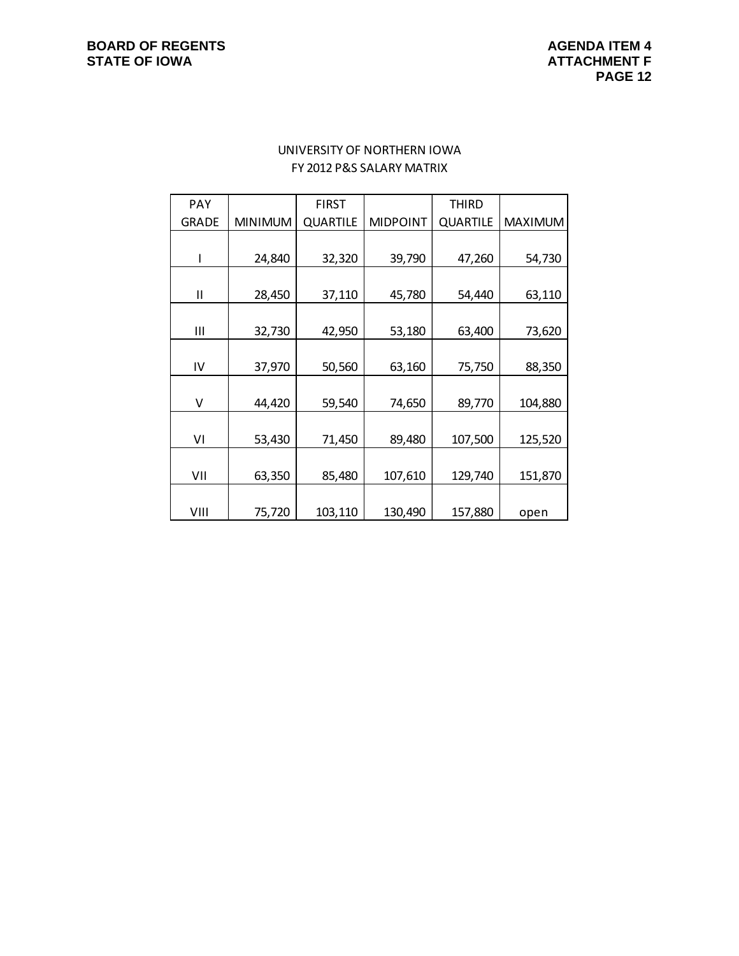# UNIVERSITY OF NORTHERN IOWA FY 2012 P&S SALARY MATRIX

| <b>PAY</b>   |                | <b>FIRST</b>    |                 | <b>THIRD</b>    |                |
|--------------|----------------|-----------------|-----------------|-----------------|----------------|
| <b>GRADE</b> | <b>MINIMUM</b> | <b>QUARTILE</b> | <b>MIDPOINT</b> | <b>QUARTILE</b> | <b>MAXIMUM</b> |
|              |                |                 |                 |                 |                |
|              | 24,840         | 32,320          | 39,790          | 47,260          | 54,730         |
|              |                |                 |                 |                 |                |
| Ш            | 28,450         | 37,110          | 45,780          | 54,440          | 63,110         |
|              |                |                 |                 |                 |                |
| Ш            | 32,730         | 42,950          | 53,180          | 63,400          | 73,620         |
|              |                |                 |                 |                 |                |
| IV           | 37,970         | 50,560          | 63,160          | 75,750          | 88,350         |
|              |                |                 |                 |                 |                |
| V            | 44,420         | 59,540          | 74,650          | 89,770          | 104,880        |
|              |                |                 |                 |                 |                |
| ٧I           | 53,430         | 71,450          | 89,480          | 107,500         | 125,520        |
|              |                |                 |                 |                 |                |
| VII          | 63,350         | 85,480          | 107,610         | 129,740         | 151,870        |
|              |                |                 |                 |                 |                |
| VIII         | 75,720         | 103,110         | 130,490         | 157,880         | open           |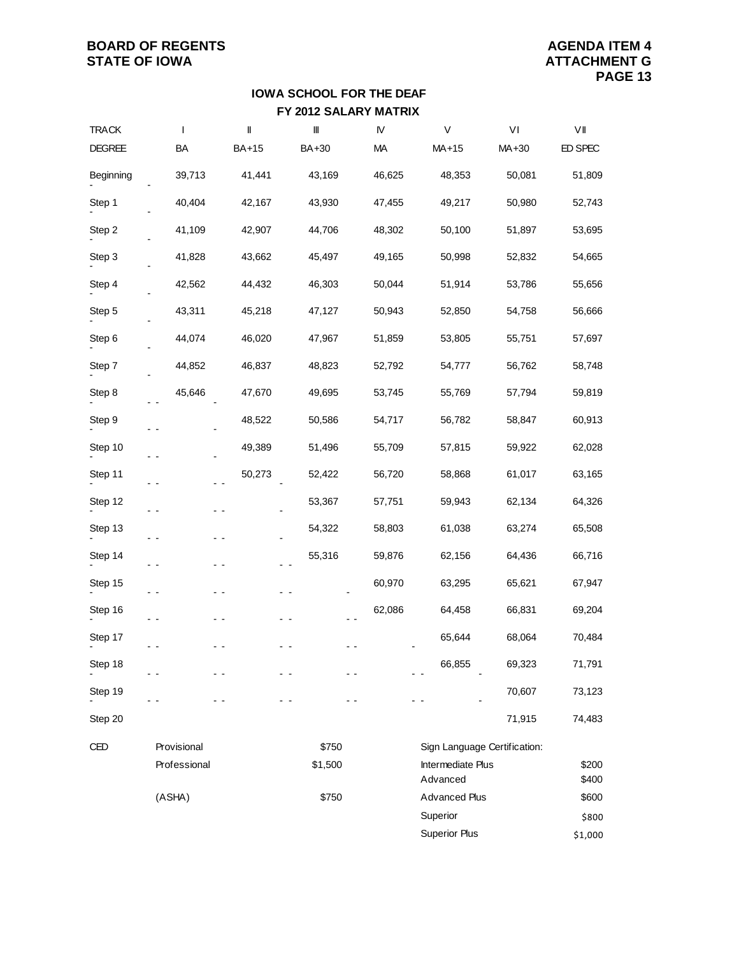# **FY 2012 SALARY MATRIX IOWA SCHOOL FOR THE DEAF**

| <b>TRACK</b>  | $\mathbf{I}$ | $\parallel$  | $\  \ $ | ${\mathsf N}$ | $\vee$                        | VI                           | VII            |
|---------------|--------------|--------------|---------|---------------|-------------------------------|------------------------------|----------------|
| <b>DEGREE</b> | BA           | <b>BA+15</b> | BA+30   | MA            | MA+15                         | MA+30                        | ED SPEC        |
| Beginning     | 39,713       | 41,441       | 43,169  | 46,625        | 48,353                        | 50,081                       | 51,809         |
| Step 1        | 40,404       | 42,167       | 43,930  | 47,455        | 49,217                        | 50,980                       | 52,743         |
| Step 2        | 41,109       | 42,907       | 44,706  | 48,302        | 50,100                        | 51,897                       | 53,695         |
| Step 3        | 41,828       | 43,662       | 45,497  | 49,165        | 50,998                        | 52,832                       | 54,665         |
| Step 4        | 42,562       | 44,432       | 46,303  | 50,044        | 51,914                        | 53,786                       | 55,656         |
| Step 5        | 43,311       | 45,218       | 47,127  | 50,943        | 52,850                        | 54,758                       | 56,666         |
| Step 6        | 44,074       | 46,020       | 47,967  | 51,859        | 53,805                        | 55,751                       | 57,697         |
| Step 7        | 44,852       | 46,837       | 48,823  | 52,792        | 54,777                        | 56,762                       | 58,748         |
| Step 8        | 45,646       | 47,670       | 49,695  | 53,745        | 55,769                        | 57,794                       | 59,819         |
| Step 9        |              | 48,522       | 50,586  | 54,717        | 56,782                        | 58,847                       | 60,913         |
| Step 10       | . .          | 49,389       | 51,496  | 55,709        | 57,815                        | 59,922                       | 62,028         |
| Step 11       |              | 50,273       | 52,422  | 56,720        | 58,868                        | 61,017                       | 63,165         |
| Step 12       | . .          |              | 53,367  | 57,751        | 59,943                        | 62,134                       | 64,326         |
| Step 13       | . .          |              | 54,322  | 58,803        | 61,038                        | 63,274                       | 65,508         |
| Step 14       | - -          |              | 55,316  | 59,876        | 62,156                        | 64,436                       | 66,716         |
| Step 15       | - -          |              |         | 60,970        | 63,295                        | 65,621                       | 67,947         |
| Step 16       | - -          |              |         | 62,086        | 64,458                        | 66,831                       | 69,204         |
| Step 17       |              |              |         |               | 65,644                        | 68,064                       | 70,484         |
| Step 18       |              |              |         |               | 66,855                        | 69,323                       | 71,791         |
| Step 19       |              |              |         |               |                               | 70,607                       | 73,123         |
| Step 20       |              |              |         |               |                               | 71,915                       | 74,483         |
| CED           | Provisional  |              | \$750   |               |                               | Sign Language Certification: |                |
|               | Professional |              | \$1,500 |               | Intermediate Plus<br>Advanced |                              | \$200<br>\$400 |
|               | (ASHA)       |              | \$750   |               | <b>Advanced Plus</b>          |                              | \$600          |
|               |              |              |         |               | Superior                      |                              | \$800          |
|               |              |              |         |               | <b>Superior Plus</b>          |                              | \$1,000        |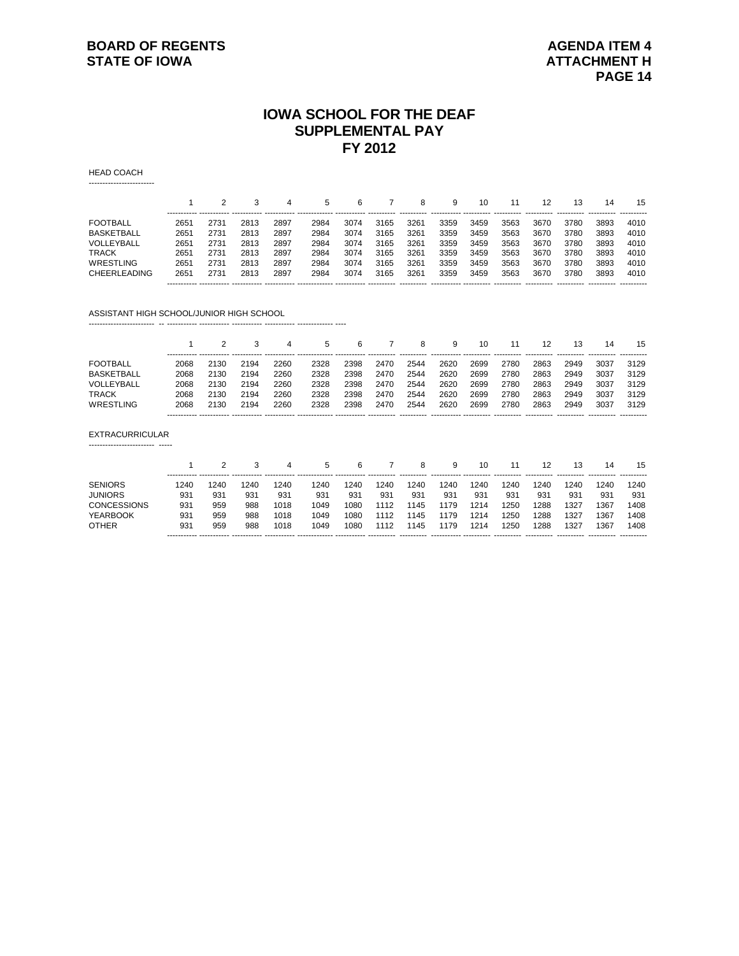# **IOWA SCHOOL FOR THE DEAF SUPPLEMENTAL PAY FY 2012**

HEAD COACH

|                     |                  |      | 3<br>------------ ----------- | 4    | 5    | 6    |      | 8                | 9    | 10   |      |      | 13   | 14   | 15   |
|---------------------|------------------|------|-------------------------------|------|------|------|------|------------------|------|------|------|------|------|------|------|
| <b>FOOTBALL</b>     | 265'             | 2731 | 2813                          | 2897 | 2984 | 3074 | 3165 | 326 <sup>4</sup> | 3359 | 3459 | 3563 | 3670 | 3780 | 3893 | 4010 |
| <b>BASKETBALL</b>   | 2651             | 2731 | 2813                          | 2897 | 2984 | 3074 | 3165 | 3261             | 3359 | 3459 | 3563 | 3670 | 3780 | 3893 | 4010 |
| VOLLEYBALL          | 2651             | 2731 | 2813                          | 2897 | 2984 | 3074 | 3165 | 3261             | 3359 | 3459 | 3563 | 3670 | 3780 | 3893 | 4010 |
| <b>TRACK</b>        | 2651             | 2731 | 2813                          | 2897 | 2984 | 3074 | 3165 | 3261             | 3359 | 3459 | 3563 | 3670 | 3780 | 3893 | 4010 |
| <b>WRESTLING</b>    | 265 <sup>,</sup> | 2731 | 2813                          | 2897 | 2984 | 3074 | 3165 | 3261             | 3359 | 3459 | 3563 | 3670 | 3780 | 3893 | 4010 |
| <b>CHEERLEADING</b> | 2651             | 2731 | 2813                          | 2897 | 2984 | 3074 | 3165 | 3261             | 3359 | 3459 | 3563 | 3670 | 3780 | 3893 | 4010 |

ASSISTANT HIGH SCHOOL/JUNIOR HIGH SCHOOL

------------------------

|                   |      |      |      |      | 5    |      |      | 8    | 9    | 10   |      | 12   | 13   | 14   | 15   |
|-------------------|------|------|------|------|------|------|------|------|------|------|------|------|------|------|------|
| <b>FOOTBALL</b>   | 2068 | 2130 | 2194 | 2260 | 2328 | 2398 | 2470 | 2544 | 2620 | 2699 | 2780 | 2863 | 2949 | 3037 | 3129 |
| <b>BASKETBALL</b> | 2068 | 2130 | 2194 | 2260 | 2328 | 2398 | 2470 | 2544 | 2620 | 2699 | 2780 | 2863 | 2949 | 3037 | 3129 |
| VOLLEYBALL        | 2068 | 2130 | 2194 | 2260 | 2328 | 2398 | 2470 | 2544 | 2620 | 2699 | 2780 | 2863 | 2949 | 3037 | 3129 |
| <b>TRACK</b>      | 2068 | 2130 | 2194 | 2260 | 2328 | 2398 | 2470 | 2544 | 2620 | 2699 | 2780 | 2863 | 2949 | 3037 | 3129 |
| WRESTLING         | 2068 | 2130 | 2194 | 2260 | 2328 | 2398 | 2470 | 2544 | 2620 | 2699 | 2780 | 2863 | 2949 | 3037 | 3129 |
|                   |      |      |      |      |      |      |      |      |      |      |      |      |      |      |      |

------------------------ -- ----------- ----------- ----------- ----------- ------------- ----

#### EXTRACURRICULAR

------------------------ -----

|             |      |      | 3    | 4    | 5    | 6    |      | 8    | 9    | 10   | 11   | 12   | 13   | 14   | 15   |
|-------------|------|------|------|------|------|------|------|------|------|------|------|------|------|------|------|
| SENIORS     | 1240 | '240 | 1240 | 1240 | 1240 | 240  | 1240 | 1240 | 1240 | 1240 | 1240 | 1240 | 1240 | 1240 | 1240 |
| JUNIORS     | 931  | 931  | 931  | 931  | 931  | 931  | 931  | 931  | 931  | 931  | 931  | 931  | 931  | 931  | 931  |
| CONCESSIONS | 931  | 959  | 988  | 1018 | 1049 | 1080 | 1112 | 1145 | 1179 | 1214 | 1250 | 1288 | 1327 | 1367 | 1408 |
| YEARBOOK    | 931  | 959  | 988  | 1018 | 1049 | 1080 | 1112 | 1145 | 1179 | 1214 | 1250 | 1288 | 1327 | 1367 | 1408 |
| OTHER       | 931  | 959  | 988  | 1018 | 1049 | 1080 | 1112 | 1145 | 1179 | 1214 | 1250 | 1288 | 1327 | 1367 | 1408 |
|             |      |      |      |      |      |      |      |      |      |      |      |      |      |      |      |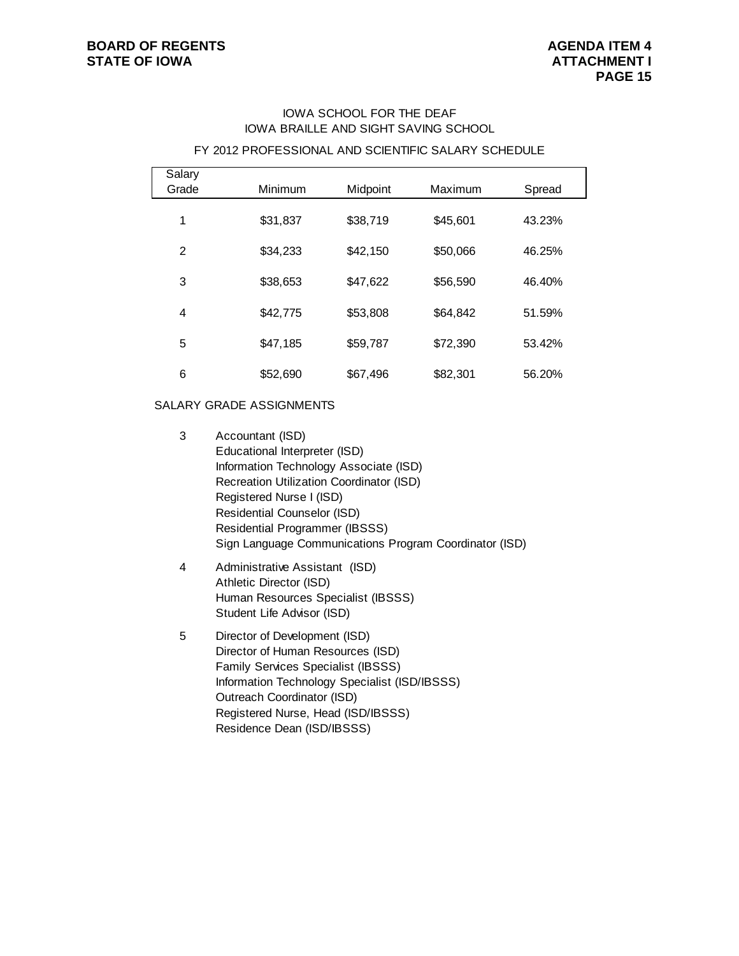# IOWA SCHOOL FOR THE DEAF IOWA BRAILLE AND SIGHT SAVING SCHOOL

#### FY 2012 PROFESSIONAL AND SCIENTIFIC SALARY SCHEDULE

| Salary<br>Grade | Minimum  | Midpoint | Maximum  | Spread |  |
|-----------------|----------|----------|----------|--------|--|
| 1               | \$31,837 | \$38,719 | \$45,601 | 43.23% |  |
| $\mathfrak{p}$  | \$34,233 | \$42,150 | \$50,066 | 46.25% |  |
| 3               | \$38,653 | \$47,622 | \$56,590 | 46.40% |  |
| 4               | \$42,775 | \$53,808 | \$64,842 | 51.59% |  |
| 5               | \$47,185 | \$59,787 | \$72,390 | 53.42% |  |
| 6               | \$52,690 | \$67,496 | \$82,301 | 56.20% |  |

### SALARY GRADE ASSIGNMENTS

- 3 Accountant (ISD) Educational Interpreter (ISD) Information Technology Associate (ISD) Recreation Utilization Coordinator (ISD) Registered Nurse I (ISD) Residential Counselor (ISD) Residential Programmer (IBSSS) Sign Language Communications Program Coordinator (ISD)
- 4 Administrative Assistant (ISD) Athletic Director (ISD) Human Resources Specialist (IBSSS) Student Life Advisor (ISD)
- 5 Director of Development (ISD) Director of Human Resources (ISD) Family Services Specialist (IBSSS) Information Technology Specialist (ISD/IBSSS) Outreach Coordinator (ISD) Registered Nurse, Head (ISD/IBSSS) Residence Dean (ISD/IBSSS)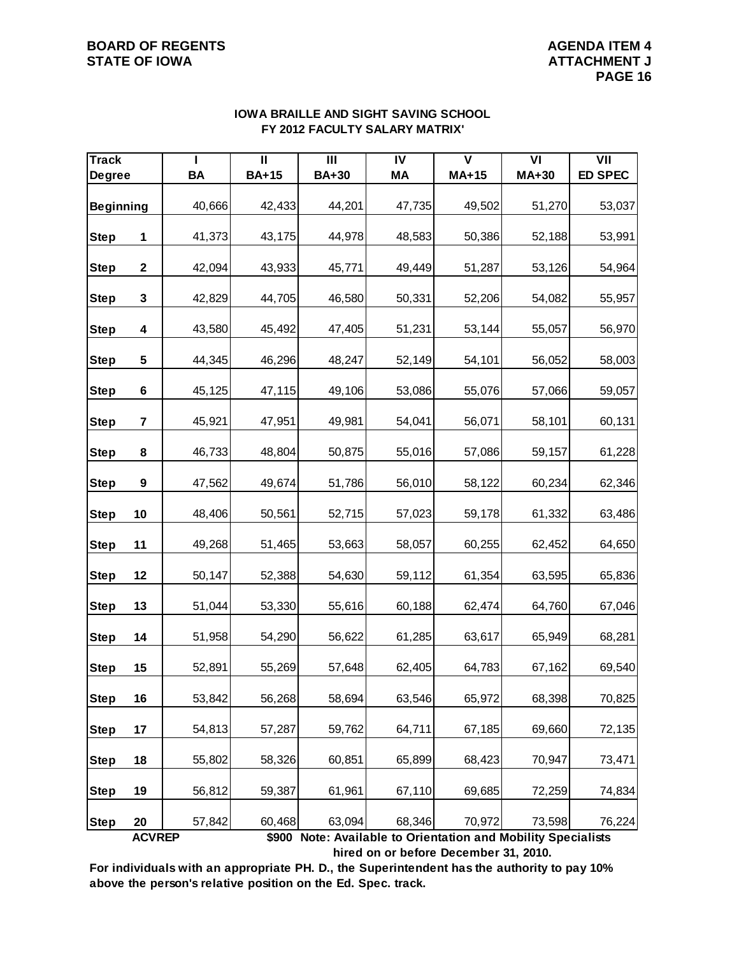| <b>Track</b>     |                         |           | $\overline{\mathsf{I}}$ | III          | $\overline{N}$ | $\overline{\textsf{v}}$                                                 | $\overline{VI}$ | $\overline{V}$ |
|------------------|-------------------------|-----------|-------------------------|--------------|----------------|-------------------------------------------------------------------------|-----------------|----------------|
| <b>Degree</b>    |                         | <b>BA</b> | <b>BA+15</b>            | <b>BA+30</b> | МA             | $MA+15$                                                                 | MA+30           | <b>ED SPEC</b> |
| <b>Beginning</b> |                         | 40,666    | 42,433                  | 44,201       | 47,735         | 49,502                                                                  | 51,270          | 53,037         |
| <b>Step</b>      | 1                       | 41,373    | 43,175                  | 44,978       | 48,583         | 50,386                                                                  | 52,188          | 53,991         |
| <b>Step</b>      | $\mathbf{2}$            | 42,094    | 43,933                  | 45,771       | 49,449         | 51,287                                                                  | 53,126          | 54,964         |
| <b>Step</b>      | 3                       | 42,829    | 44,705                  | 46,580       | 50,331         | 52,206                                                                  | 54,082          | 55,957         |
| <b>Step</b>      | 4                       | 43,580    | 45,492                  | 47,405       | 51,231         | 53,144                                                                  | 55,057          | 56,970         |
| <b>Step</b>      | 5                       | 44,345    | 46,296                  | 48,247       | 52,149         | 54,101                                                                  | 56,052          | 58,003         |
| <b>Step</b>      | 6                       | 45,125    | 47,115                  | 49,106       | 53,086         | 55,076                                                                  | 57,066          | 59,057         |
| <b>Step</b>      | $\overline{\mathbf{7}}$ | 45,921    | 47,951                  | 49,981       | 54,041         | 56,071                                                                  | 58,101          | 60,131         |
| <b>Step</b>      | 8                       | 46,733    | 48,804                  | 50,875       | 55,016         | 57,086                                                                  | 59,157          | 61,228         |
| <b>Step</b>      | $\boldsymbol{9}$        | 47,562    | 49,674                  | 51,786       | 56,010         | 58,122                                                                  | 60,234          | 62,346         |
| <b>Step</b>      | 10                      | 48,406    | 50,561                  | 52,715       | 57,023         | 59,178                                                                  | 61,332          | 63,486         |
| <b>Step</b>      | 11                      | 49,268    | 51,465                  | 53,663       | 58,057         | 60,255                                                                  | 62,452          | 64,650         |
| <b>Step</b>      | 12                      | 50,147    | 52,388                  | 54,630       | 59,112         | 61,354                                                                  | 63,595          | 65,836         |
| <b>Step</b>      | 13                      | 51,044    | 53,330                  | 55,616       | 60,188         | 62,474                                                                  | 64,760          | 67,046         |
| <b>Step</b>      | 14                      | 51,958    | 54,290                  | 56,622       | 61,285         | 63,617                                                                  | 65,949          | 68,281         |
| <b>Step</b>      | 15                      | 52,891    | 55,269                  | 57,648       | 62,405         | 64,783                                                                  | 67,162          | 69,540         |
| <b>Step</b>      | 16                      | 53,842    | 56,268                  | 58,694       | 63,546         | 65,972                                                                  | 68,398          | 70,825         |
| <b>Step</b>      | 17                      | 54,813    | 57,287                  | 59,762       | 64,711         | 67,185                                                                  | 69,660          | 72,135         |
| <b>Step</b>      | 18                      | 55,802    | 58,326                  | 60,851       | 65,899         | 68,423                                                                  | 70,947          | 73,471         |
| <b>Step</b>      | 19                      | 56,812    | 59,387                  | 61,961       | 67,110         | 69,685                                                                  | 72,259          | 74,834         |
| <b>Step</b>      | 20<br><b>ACVREP</b>     | 57,842    | 60,468                  | 63,094       | 68,346         | 70,972<br>\$900 Note: Available to Orientation and Mobility Specialists | 73,598          | 76,224         |

# **IOWA BRAILLE AND SIGHT SAVING SCHOOL FY 2012 FACULTY SALARY MATRIX'**

**For individuals with an appropriate PH. D., the Superintendent has the authority to pay 10% above the person's relative position on the Ed. Spec. track.**

 **hired on or before December 31, 2010.**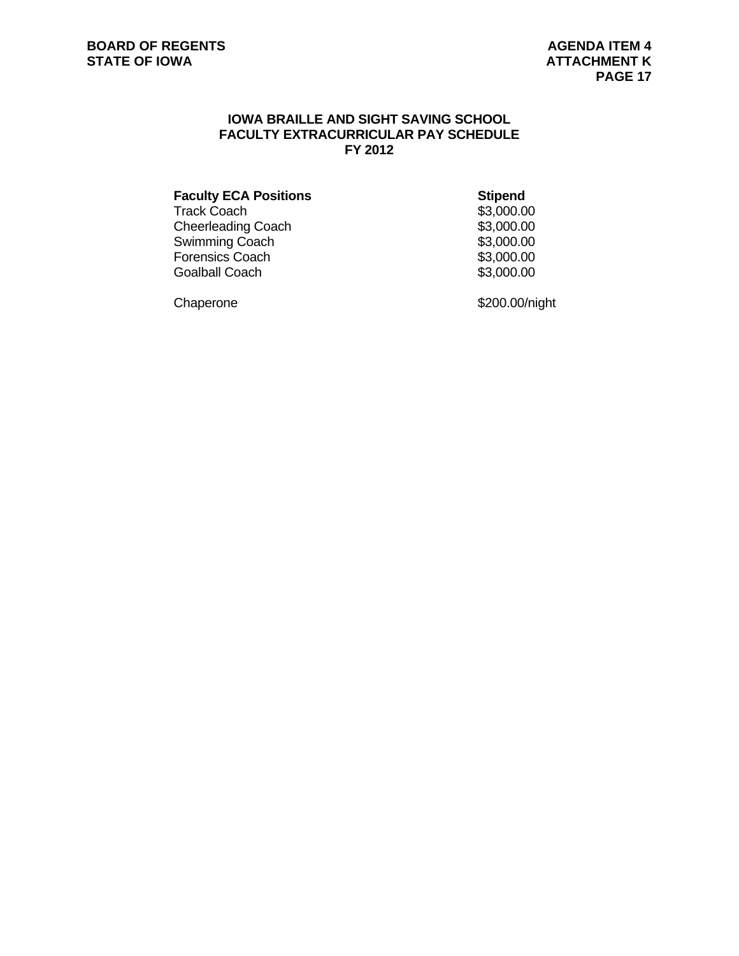# **IOWA BRAILLE AND SIGHT SAVING SCHOOL FACULTY EXTRACURRICULAR PAY SCHEDULE FY 2012**

| <b>Faculty ECA Positions</b> | <b>Stipend</b> |
|------------------------------|----------------|
| Track Coach                  | \$3,000.00     |
| Cheerleading Coach           | \$3,000.00     |
| Swimming Coach               | \$3,000.00     |
| Forensics Coach              | \$3,000.00     |
| <b>Goalball Coach</b>        | \$3,000.00     |
|                              |                |

Chaperone \$200.00/night